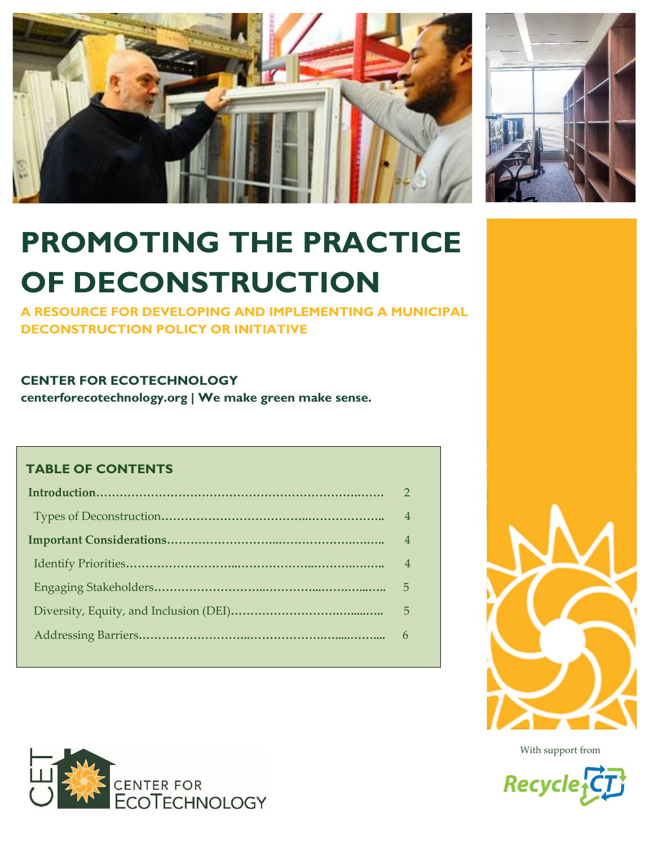



# **PROMOTING THE PRACTICE OF DECONSTRUCTION**

**A RESOURCE FOR DEVELOPING AND IMPLEMENTING A MUNICIPAL DECONSTRUCTION POLICY OR INITIATIVE**

# **CENTER FOR ECOTECHNOLOGY**

**centerforecotechnology.org | We make green make sense.**

## **TABLE OF CONTENTS**

| $\overline{4}$ |
|----------------|
| $\overline{4}$ |
| $\overline{4}$ |
| 5              |
| 5              |
|                |
|                |







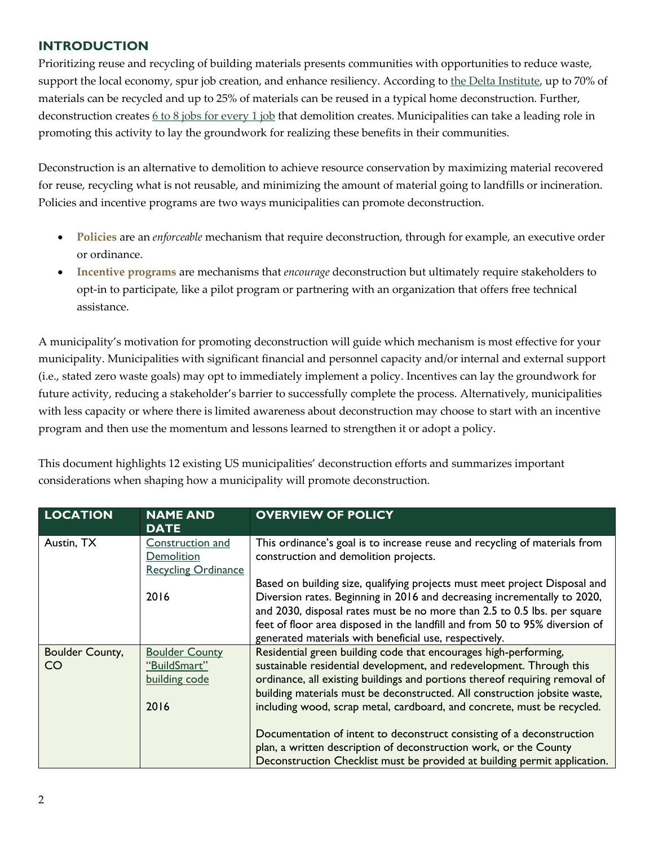## **INTRODUCTION**

Prioritizing reuse and recycling of building materials presents communities with opportunities to reduce waste, support the local economy, spur job creation, and enhance resiliency. According to [the Delta Institute,](https://delta-institute.org/wp-content/uploads/2018/05/Deconstruction-Go-Guide-6-13-18-.pdf) up to 70% of materials can be recycled and up to 25% of materials can be reused in a typical home deconstruction. Further, deconstruction creates  $6 \text{ to } 8$  jobs for every 1 job that demolition creates. Municipalities can take a leading role in promoting this activity to lay the groundwork for realizing these benefits in their communities.

Deconstruction is an alternative to demolition to achieve resource conservation by maximizing material recovered for reuse, recycling what is not reusable, and minimizing the amount of material going to landfills or incineration. Policies and incentive programs are two ways municipalities can promote deconstruction.

- **Policies** are an *enforceable* mechanism that require deconstruction, through for example, an executive order or ordinance.
- **Incentive programs** are mechanisms that *encourage* deconstruction but ultimately require stakeholders to opt-in to participate, like a pilot program or partnering with an organization that offers free technical assistance.

A municipality's motivation for promoting deconstruction will guide which mechanism is most effective for your municipality. Municipalities with significant financial and personnel capacity and/or internal and external support (i.e., stated zero waste goals) may opt to immediately implement a policy. Incentives can lay the groundwork for future activity, reducing a stakeholder's barrier to successfully complete the process. Alternatively, municipalities with less capacity or where there is limited awareness about deconstruction may choose to start with an incentive program and then use the momentum and lessons learned to strengthen it or adopt a policy.

This document highlights 12 existing US municipalities' deconstruction efforts and summarizes important considerations when shaping how a municipality will promote deconstruction.

| <b>LOCATION</b>       | <b>NAME AND</b><br><b>DATE</b>                                 | <b>OVERVIEW OF POLICY</b>                                                                                                                                                                                                                                                                                                                                                       |
|-----------------------|----------------------------------------------------------------|---------------------------------------------------------------------------------------------------------------------------------------------------------------------------------------------------------------------------------------------------------------------------------------------------------------------------------------------------------------------------------|
| Austin, TX            | Construction and<br>Demolition<br><b>Recycling Ordinance</b>   | This ordinance's goal is to increase reuse and recycling of materials from<br>construction and demolition projects.                                                                                                                                                                                                                                                             |
|                       | 2016                                                           | Based on building size, qualifying projects must meet project Disposal and<br>Diversion rates. Beginning in 2016 and decreasing incrementally to 2020,<br>and 2030, disposal rates must be no more than 2.5 to 0.5 lbs. per square<br>feet of floor area disposed in the landfill and from 50 to 95% diversion of<br>generated materials with beneficial use, respectively.     |
| Boulder County,<br>CO | <b>Boulder County</b><br>"BuildSmart"<br>building code<br>2016 | Residential green building code that encourages high-performing,<br>sustainable residential development, and redevelopment. Through this<br>ordinance, all existing buildings and portions thereof requiring removal of<br>building materials must be deconstructed. All construction jobsite waste,<br>including wood, scrap metal, cardboard, and concrete, must be recycled. |
|                       |                                                                | Documentation of intent to deconstruct consisting of a deconstruction<br>plan, a written description of deconstruction work, or the County<br>Deconstruction Checklist must be provided at building permit application.                                                                                                                                                         |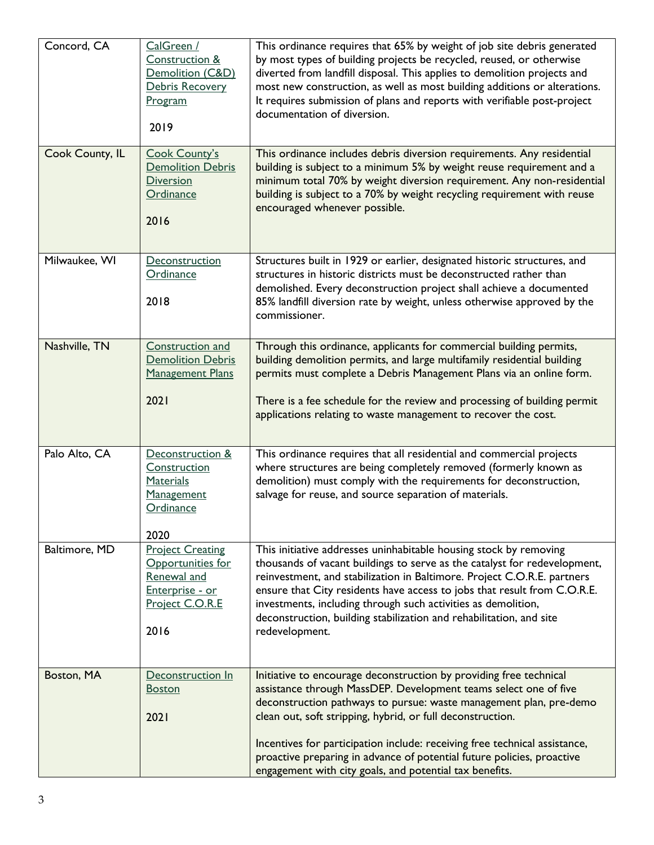| Concord, CA     | CalGreen /<br>Construction &<br>Demolition (C&D)<br>Debris Recovery<br>Program<br>2019                    | This ordinance requires that 65% by weight of job site debris generated<br>by most types of building projects be recycled, reused, or otherwise<br>diverted from landfill disposal. This applies to demolition projects and<br>most new construction, as well as most building additions or alterations.<br>It requires submission of plans and reports with verifiable post-project<br>documentation of diversion.                                                                           |
|-----------------|-----------------------------------------------------------------------------------------------------------|-----------------------------------------------------------------------------------------------------------------------------------------------------------------------------------------------------------------------------------------------------------------------------------------------------------------------------------------------------------------------------------------------------------------------------------------------------------------------------------------------|
| Cook County, IL | <b>Cook County's</b><br><b>Demolition Debris</b><br><b>Diversion</b><br>Ordinance<br>2016                 | This ordinance includes debris diversion requirements. Any residential<br>building is subject to a minimum 5% by weight reuse requirement and a<br>minimum total 70% by weight diversion requirement. Any non-residential<br>building is subject to a 70% by weight recycling requirement with reuse<br>encouraged whenever possible.                                                                                                                                                         |
| Milwaukee, WI   | Deconstruction<br>Ordinance<br>2018                                                                       | Structures built in 1929 or earlier, designated historic structures, and<br>structures in historic districts must be deconstructed rather than<br>demolished. Every deconstruction project shall achieve a documented<br>85% landfill diversion rate by weight, unless otherwise approved by the<br>commissioner.                                                                                                                                                                             |
| Nashville, TN   | <b>Construction and</b><br><b>Demolition Debris</b><br><b>Management Plans</b><br>2021                    | Through this ordinance, applicants for commercial building permits,<br>building demolition permits, and large multifamily residential building<br>permits must complete a Debris Management Plans via an online form.<br>There is a fee schedule for the review and processing of building permit<br>applications relating to waste management to recover the cost.                                                                                                                           |
| Palo Alto, CA   | Deconstruction &<br>Construction<br>Materials<br>Management<br>Ordinance<br>2020                          | This ordinance requires that all residential and commercial projects<br>where structures are being completely removed (formerly known as<br>demolition) must comply with the requirements for deconstruction,<br>salvage for reuse, and source separation of materials.                                                                                                                                                                                                                       |
| Baltimore, MD   | <b>Project Creating</b><br>Opportunities for<br>Renewal and<br>Enterprise - or<br>Project C.O.R.E<br>2016 | This initiative addresses uninhabitable housing stock by removing<br>thousands of vacant buildings to serve as the catalyst for redevelopment,<br>reinvestment, and stabilization in Baltimore. Project C.O.R.E. partners<br>ensure that City residents have access to jobs that result from C.O.R.E.<br>investments, including through such activities as demolition,<br>deconstruction, building stabilization and rehabilitation, and site<br>redevelopment.                               |
| Boston, MA      | Deconstruction In<br><b>Boston</b><br>2021                                                                | Initiative to encourage deconstruction by providing free technical<br>assistance through MassDEP. Development teams select one of five<br>deconstruction pathways to pursue: waste management plan, pre-demo<br>clean out, soft stripping, hybrid, or full deconstruction.<br>Incentives for participation include: receiving free technical assistance,<br>proactive preparing in advance of potential future policies, proactive<br>engagement with city goals, and potential tax benefits. |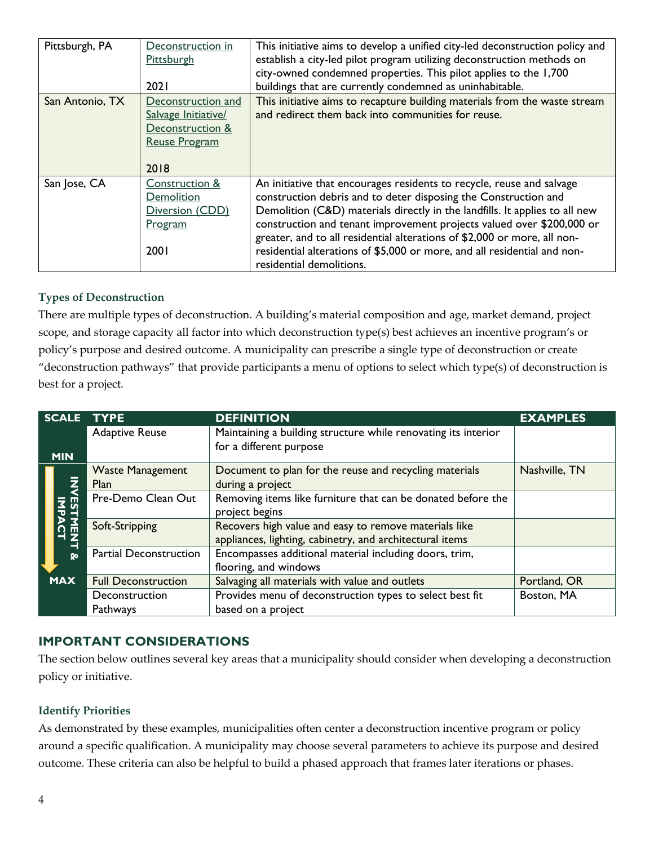| Pittsburgh, PA  | Deconstruction in<br>Pittsburgh<br>2021                                               | This initiative aims to develop a unified city-led deconstruction policy and<br>establish a city-led pilot program utilizing deconstruction methods on<br>city-owned condemned properties. This pilot applies to the 1,700<br>buildings that are currently condemned as uninhabitable.                                                                                                                                                                                               |
|-----------------|---------------------------------------------------------------------------------------|--------------------------------------------------------------------------------------------------------------------------------------------------------------------------------------------------------------------------------------------------------------------------------------------------------------------------------------------------------------------------------------------------------------------------------------------------------------------------------------|
| San Antonio, TX | Deconstruction and<br>Salvage Initiative/<br>Deconstruction &<br><b>Reuse Program</b> | This initiative aims to recapture building materials from the waste stream<br>and redirect them back into communities for reuse.                                                                                                                                                                                                                                                                                                                                                     |
| San Jose, CA    | 2018<br>Construction &<br>Demolition<br>Diversion (CDD)<br>Program<br>2001            | An initiative that encourages residents to recycle, reuse and salvage<br>construction debris and to deter disposing the Construction and<br>Demolition (C&D) materials directly in the landfills. It applies to all new<br>construction and tenant improvement projects valued over \$200,000 or<br>greater, and to all residential alterations of \$2,000 or more, all non-<br>residential alterations of \$5,000 or more, and all residential and non-<br>residential demolitions. |

#### **Types of Deconstruction**

There are multiple types of deconstruction. A building's material composition and age, market demand, project scope, and storage capacity all factor into which deconstruction type(s) best achieves an incentive program's or policy's purpose and desired outcome. A municipality can prescribe a single type of deconstruction or create "deconstruction pathways" that provide participants a menu of options to select which type(s) of deconstruction is best for a project.

| SCALE TYPE |                                 | <b>DEFINITION</b>                                                                                                 | <b>EXAMPLES</b> |
|------------|---------------------------------|-------------------------------------------------------------------------------------------------------------------|-----------------|
| <b>MIN</b> | <b>Adaptive Reuse</b>           | Maintaining a building structure while renovating its interior<br>for a different purpose                         |                 |
|            | <b>Waste Management</b><br>Plan | Document to plan for the reuse and recycling materials<br>during a project                                        | Nashville, TN   |
|            | Pre-Demo Clean Out              | Removing items like furniture that can be donated before the<br>project begins                                    |                 |
|            | Soft-Stripping                  | Recovers high value and easy to remove materials like<br>appliances, lighting, cabinetry, and architectural items |                 |
| Q٥         | <b>Partial Deconstruction</b>   | Encompasses additional material including doors, trim,<br>flooring, and windows                                   |                 |
| <b>MAX</b> | <b>Full Deconstruction</b>      | Salvaging all materials with value and outlets                                                                    | Portland, OR    |
|            | Deconstruction                  | Provides menu of deconstruction types to select best fit                                                          | Boston, MA      |
|            | Pathways                        | based on a project                                                                                                |                 |

### **IMPORTANT CONSIDERATIONS**

The section below outlines several key areas that a municipality should consider when developing a deconstruction policy or initiative.

#### **Identify Priorities**

As demonstrated by these examples, municipalities often center a deconstruction incentive program or policy around a specific qualification. A municipality may choose several parameters to achieve its purpose and desired outcome. These criteria can also be helpful to build a phased approach that frames later iterations or phases.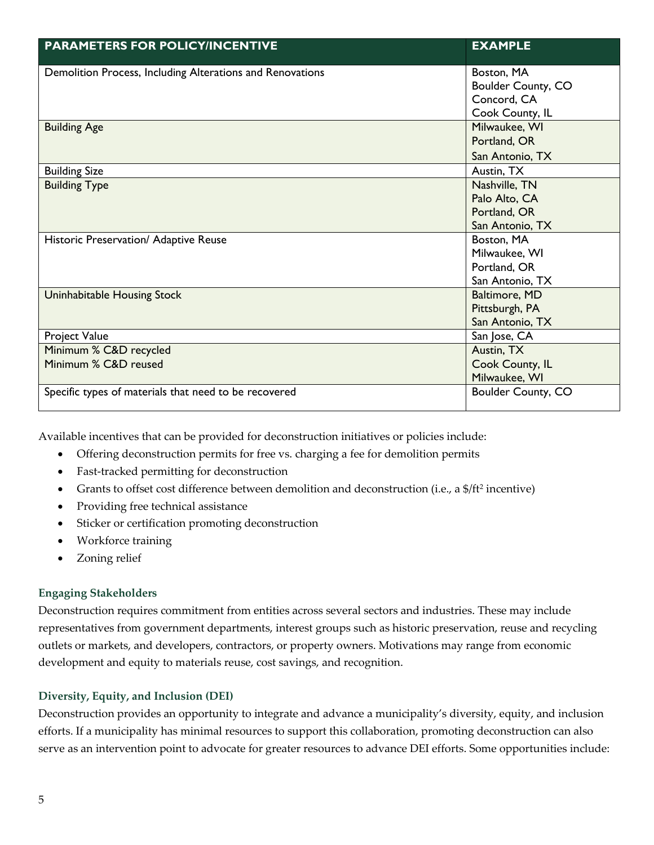| <b>PARAMETERS FOR POLICY/INCENTIVE</b>                    | <b>EXAMPLE</b>            |
|-----------------------------------------------------------|---------------------------|
| Demolition Process, Including Alterations and Renovations | Boston, MA                |
|                                                           | Boulder County, CO        |
|                                                           | Concord, CA               |
|                                                           | Cook County, IL           |
| <b>Building Age</b>                                       | Milwaukee, WI             |
|                                                           | Portland, OR              |
|                                                           | San Antonio, TX           |
| <b>Building Size</b>                                      | Austin, TX                |
| <b>Building Type</b>                                      | Nashville, TN             |
|                                                           | Palo Alto, CA             |
|                                                           | Portland, OR              |
|                                                           | San Antonio, TX           |
| Historic Preservation/ Adaptive Reuse                     | Boston, MA                |
|                                                           | Milwaukee, WI             |
|                                                           | Portland, OR              |
|                                                           | San Antonio, TX           |
| Uninhabitable Housing Stock                               | Baltimore, MD             |
|                                                           | Pittsburgh, PA            |
|                                                           | San Antonio, TX           |
| Project Value                                             | San Jose, CA              |
| Minimum % C&D recycled                                    | Austin, TX                |
| Minimum % C&D reused                                      | Cook County, IL           |
|                                                           | Milwaukee, WI             |
| Specific types of materials that need to be recovered     | <b>Boulder County, CO</b> |

Available incentives that can be provided for deconstruction initiatives or policies include:

- Offering deconstruction permits for free vs. charging a fee for demolition permits
- Fast-tracked permitting for deconstruction
- Grants to offset cost difference between demolition and deconstruction (i.e., a \$/ft<sup>2</sup> incentive)
- Providing free technical assistance
- Sticker or certification promoting deconstruction
- Workforce training
- Zoning relief

#### **Engaging Stakeholders**

Deconstruction requires commitment from entities across several sectors and industries. These may include representatives from government departments, interest groups such as historic preservation, reuse and recycling outlets or markets, and developers, contractors, or property owners. Motivations may range from economic development and equity to materials reuse, cost savings, and recognition.

#### **Diversity, Equity, and Inclusion (DEI)**

Deconstruction provides an opportunity to integrate and advance a municipality's diversity, equity, and inclusion efforts. If a municipality has minimal resources to support this collaboration, promoting deconstruction can also serve as an intervention point to advocate for greater resources to advance DEI efforts. Some opportunities include: